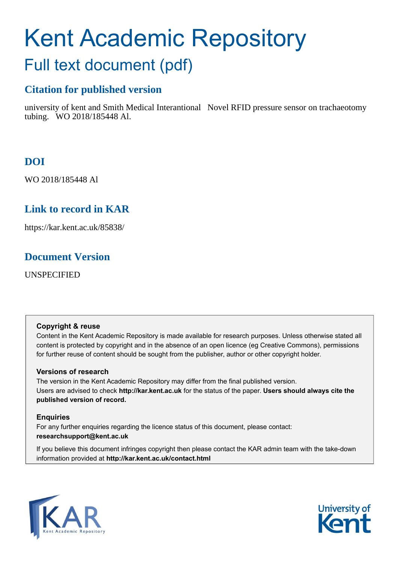# Kent Academic Repository Full text document (pdf)

### **Citation for published version**

university of kent and Smith Medical Interantional Novel RFID pressure sensor on trachaeotomy tubing. WO 2018/185448 Al.

### **DOI**

WO 2018/185448 Al

### **Link to record in KAR**

https://kar.kent.ac.uk/85838/

### **Document Version**

UNSPECIFIED

### **Copyright & reuse**

Content in the Kent Academic Repository is made available for research purposes. Unless otherwise stated all content is protected by copyright and in the absence of an open licence (eg Creative Commons), permissions for further reuse of content should be sought from the publisher, author or other copyright holder.

### **Versions of research**

The version in the Kent Academic Repository may differ from the final published version. Users are advised to check **http://kar.kent.ac.uk** for the status of the paper. **Users should always cite the published version of record.**

### **Enquiries**

For any further enquiries regarding the licence status of this document, please contact: **researchsupport@kent.ac.uk**

If you believe this document infringes copyright then please contact the KAR admin team with the take-down information provided at **http://kar.kent.ac.uk/contact.html**



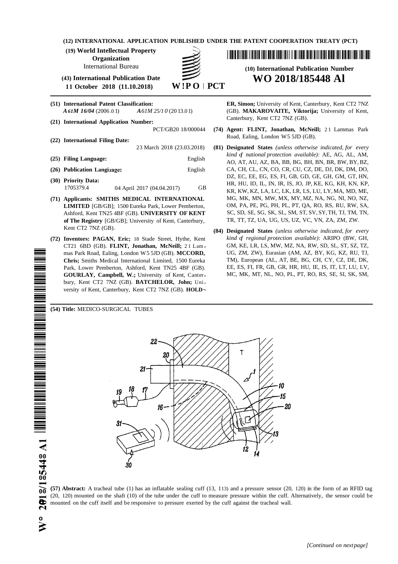|  | (12) INTERNATIONAL APPLICATION PUBLISHED UNDER THE PATENT COOPERATION TREATY (PCT) |  |  |  |
|--|------------------------------------------------------------------------------------|--|--|--|
|--|------------------------------------------------------------------------------------|--|--|--|

**(19) World Intellectual Property**

**Organization**

**(43) International Publication Date WO 2018/185448 Al 11 October 2018 (11.10.2018)** 

- **(51) International Patent Classification: ER, Simon;** University of Kent, Canterbury, Kent CT2 7NZ
- Canterbury, Kent CT2 7NZ (GB). **(21) International Application Number:**

- Road, Ealing, London W5 5JD (GB). **(22) International Filing Date:**
- 
- (26) **Publication Langinage:** English CA, CH, CL, CN, CO, CR, CU, CZ, DE, DJ, DK, DM, DO,
- 
- Ashford, Kent TN25 4BF (GB). **UNIVERSITY OF KENT of The Registry** [GB/GB]; University of Kent, Canterbury, TR, TT, TZ, UA, UG, US, UZ, VC, VN, ZA, ZM, ZW.
- **GOURLAY, Campbell, W.; University of Kent, Canter**bury, Kent CT2 7NZ (GB). **BATCHELOR, John;** Uni versity of Kent, Canterbury, Kent CT2 7NZ (GB). **HOLD¬**

<u> I III A ANTII A BIBI A BIBI A BIBI A BIBI A BIBI A BIBI A BIBI A BIBI A BIBI A BIBI A BIBI A BIBI A BIBI A BI</u>

## International Bureau **(10) International Publication Number**

*A61M 16/04* (2006 .0 1) *A61M 25/1 0* (20 13.0 1) (GB). **MAKAROVAITE, Viktorija;** University of Kent,

- PCT/GB20 18/000044 **(74) Agent: FLINT, Jonathan, McNeill;** 2 1 Lammas Park
- 23 March 2018 (23.03.2018) **(81) Designated States** *(unless otherwise indicated, for every kind of national protection available):* AE, AG, AL, AM, **(25) Filing Language:** English AO, AT, AU, AZ, BA, BB, BG, BH, BN, BR, BW, BY, BZ, DZ, EC, EE, EG, ES, FI, GB, GD, GE, GH, GM, GT, HN, (30) **Priority Data:** External and the BE, External and HR, HU, ID, IL, IN, IR, IS, JO, JP, KE, KG, KH, KN, KP, HU, ID, IL, IN, IR, IS, JO, JP, KE, KG, KH, KN, KP, TH, HU, ID, IL, IN, IR, IS, JO, JP, KE, KG, KH, KN, KP, TH KR, KW, KZ, LA, LC, LK, LR, LS, LU, LY, MA, MD, ME, **(71) Applicants: SMITHS MEDICAL INTERNATIONAL** MG, MK, MN, MW, MX, MY, MZ, NA, NG, NI, NO, NZ, **LIMITED** [GB/GB]; 1500 Eureka Park, Lower Pemberton, OM, PA, PE, PG, PH, PL, PT, QA, RO, RS, RU, RW, SA, Ashford, Kent TN25 4RE (GB) **IINIVERSITY OF KENT** SC, SD, SE, SG, SK, SL, SM, ST, SV, SY, TH, TJ, TM, TN,
- Kent CT2 7NZ (GB). **(84) Designated States** *(unless otherwise indicated, for every* **(72) Inventors: PAGAN, Eric;** 18 Stade Street, Hythe, Kent *kind of regional protection available):* ARIPO (BW, GH, CT21 6BD (GB). **FLINT, Jonathan, McNeill;** 2 1 Lam GM, KE, LR, LS, MW, MZ, NA, RW, SD, SL, ST, SZ, TZ, mas Park Road. Ealing. London W 5 5JD (GB). **MCCORD.** UG, ZM, ZW), Eurasian (AM, AZ, BY, KG, KZ, RU, TJ, mas Park Road, Ealing, London W5 5JD (GB). **MCCORD,** UG, ZM, ZW), Eurasian (AM, AZ, BY, KG, KZ, RU, TJ, Chris: Smiths Medical International Limited. 1500 Eureka TM), European (AL, AT, BE, BG, CH, CY, CZ, DE, DK, **Chris;** Smiths Medical International Limited, 1500 Eureka TM), European (AL, AT, BE, BG, CH, CY, CZ, DE, DK, Park. Lower Pemberton. Ashford. Kent TN25 4BF (GB). EE, ES, FI, FR, GB, GR, HR, HU, IE, IS, IT, LT, LU, LV, Park, Lower Pemberton, Ashford, Kent TN25 4BF (GB). EE, ES, FI, FR, GB, GR, HR, HU, IE, IS, IT, LT, LU, LV, GOURLAY. Campbell. W.: University of Kent. Canter- MC, MK, MT, NL, NO, PL, PT, RO, RS, SE, SI, SK, SM,



**(57) Abstract:** A tracheal tube (1) has an inflatable sealing cuff (13, 113) and a pressure sensor (20, 120) in the form of an RFID tag (20, 120) mounted on the shaft (10) of the tube under the cuff to measure pressure within the cuff. Alternatively, the sensor could be (20, 120) mounted on the shaft (10) of the tube under the cuff to measure pressure within the cuff. A mounted on the cuff itself and be responsive to pressure exerted by the cuff against the tracheal wall.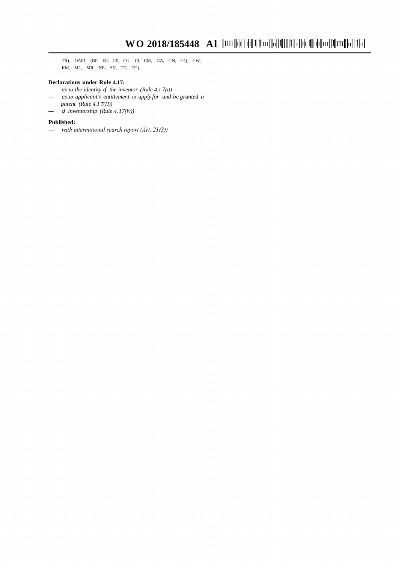TR), OAPI (BF, BJ, CF, CG, CI, CM, GA, GN, GQ, GW, KM, ML, MR, NE, SN, TD, TG).

#### **Declarations under Rule 4.17:**

- *— as to the identity of the inventor (Rule 4.1 7(i))*
- *— as to applicant's entitlement to apply for and be granted a patent (Rule 4.1 7(H))*
- *— of inventorship (Rule 4.17(iv))*

**Published:**<br>
— with international search report (Art. 21(3))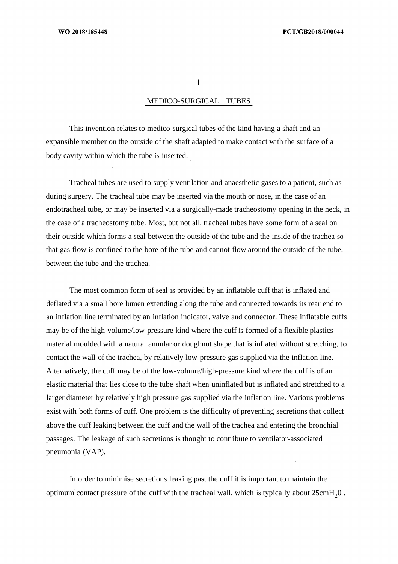$\mathbf{1}$ 

### MEDICO-SURGICAL TUBES

This invention relates to medico-surgical tubes of the kind having a shaft and an expansible member on the outside of the shaft adapted to make contact with the surface of a body cavity within which the tube is inserted.

Tracheal tubes are used to supply ventilation and anaesthetic gases to a patient, such as during surgery. The tracheal tube may be inserted via the mouth or nose, in the case of an endotracheal tube, or may be inserted via a surgically-made tracheostomy opening in the neck, in the case of a tracheostomy tube. Most, but not all, tracheal tubes have some form of a seal on their outside which forms a seal between the outside of the tube and the inside of the trachea so that gas flow is confined to the bore of the tube and cannot flow around the outside of the tube, between the tube and the trachea.

The most common form of seal is provided by an inflatable cuff that is inflated and deflated via a small bore lumen extending along the tube and connected towards its rear end to an inflation line terminated by an inflation indicator, valve and connector. These inflatable cuffs may be of the high-volume/low-pressure kind where the cuff is formed of a flexible plastics material moulded with a natural annular or doughnut shape that is inflated without stretching, to contact the wall of the trachea, by relatively low-pressure gas supplied via the inflation line. Alternatively, the cuff may be of the low-volume/high-pressure kind where the cuff is of an elastic material that lies close to the tube shaft when uninflated but is inflated and stretched to a larger diameter by relatively high pressure gas supplied via the inflation line. Various problems exist with both forms of cuff. One problem is the difficulty of preventing secretions that collect above the cuff leaking between the cuff and the wall of the trachea and entering the bronchial passages. The leakage of such secretions is thought to contribute to ventilator-associated pneumonia (VAP).

In order to minimise secretions leaking past the cuff it is important to maintain the optimum contact pressure of the cuff with the tracheal wall, which is typically about  $25 \text{cm}H_2\text{0}$ .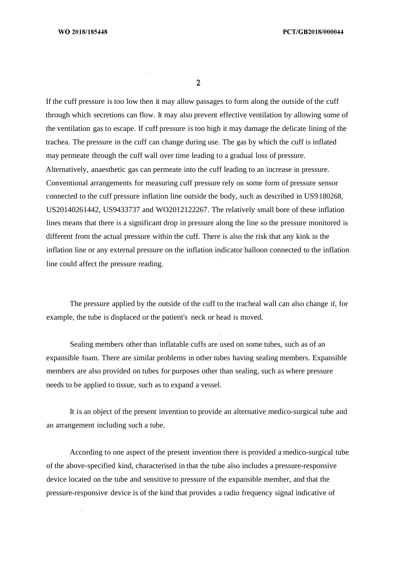$\overline{2}$ 

If the cuff pressure is too low then it may allow passages to form along the outside of the cuff through which secretions can flow. It may also prevent effective ventilation by allowing some of the ventilation gas to escape. If cuff pressure is too high it may damage the delicate lining of the trachea. The pressure in the cuff can change during use. The gas by which the cuff is inflated may permeate through the cuff wall over time leading to a gradual loss of pressure. Alternatively, anaesthetic gas can permeate into the cuff leading to an increase in pressure. Conventional arrangements for measuring cuff pressure rely on some form of pressure sensor connected to the cuff pressure inflation line outside the body, such as described in US9 180268, US20140261442, US9433737 and WO2012122267. The relatively small bore of these inflation lines means that there is a significant drop in pressure along the line so the pressure monitored is different from the actual pressure within the cuff. There is also the risk that any kink in the inflation line or any external pressure on the inflation indicator balloon connected to the inflation line could affect the pressure reading.

The pressure applied by the outside of the cuff to the tracheal wall can also change if, for example, the tube is displaced or the patient's neck or head is moved.

Sealing members other than inflatable cuffs are used on some tubes, such as of an expansible foam. There are similar problems in other tubes having sealing members. Expansible members are also provided on tubes for purposes other than sealing, such as where pressure needs to be applied to tissue, such as to expand a vessel.

It is an object of the present invention to provide an alternative medico-surgical tube and an arrangement including such a tube.

According to one aspect of the present invention there is provided a medico-surgical tube of the above-specified kind, characterised in that the tube also includes a pressure-responsive device located on the tube and sensitive to pressure of the expansible member, and that the pressure-responsive device is of the kind that provides a radio frequency signal indicative of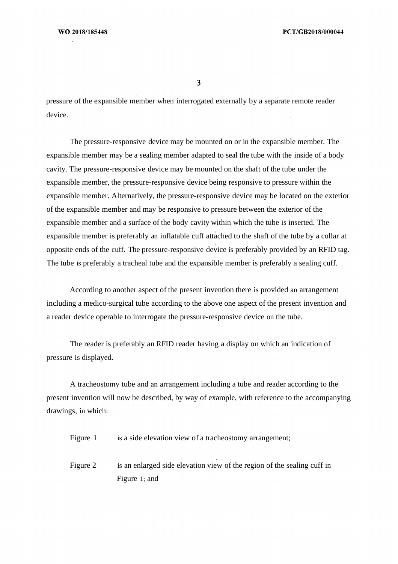$\overline{\mathbf{3}}$ 

pressure of the expansible member when interrogated externally by a separate remote reader device.

The pressure-responsive device may be mounted on or in the expansible member. The expansible member may be a sealing member adapted to seal the tube with the inside of a body cavity. The pressure-responsive device may be mounted on the shaft of the tube under the expansible member, the pressure-responsive device being responsive to pressure within the expansible member. Alternatively, the pressure-responsive device may be located on the exterior of the expansible member and may be responsive to pressure between the exterior of the expansible member and a surface of the body cavity within which the tube is inserted. The expansible member is preferably an inflatable cuff attached to the shaft of the tube by a collar at opposite ends of the cuff. The pressure-responsive device is preferably provided by an RFID tag. The tube is preferably a tracheal tube and the expansible member is preferably a sealing cuff.

According to another aspect of the present invention there is provided an arrangement including a medico-surgical tube according to the above one aspect of the present invention and a reader device operable to interrogate the pressure-responsive device on the tube.

The reader is preferably an RFID reader having a display on which an indication of pressure is displayed.

A tracheostomy tube and an arrangement including a tube and reader according to the present invention will now be described, by way of example, with reference to the accompanying drawings, in which:

Figure 1 is a side elevation view of a tracheostomy arrangement;

Figure 2 is an enlarged side elevation view of the region of the sealing cuff in Figure 1; and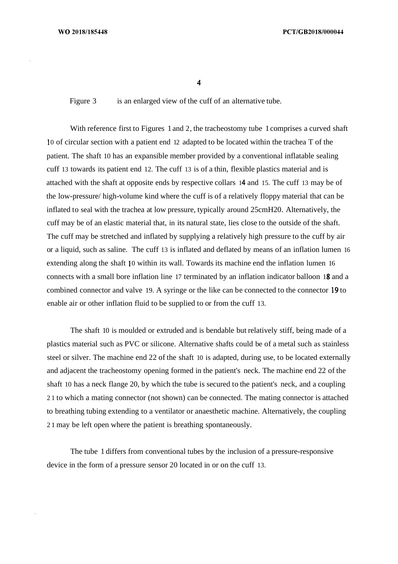Figure 3 is an enlarged view of the cuff of an alternative tube.

With reference first to Figures 1 and 2, the tracheostomy tube 1 comprises a curved shaft 0 of circular section with a patient end 12 adapted to be located within the trachea T of the patient. The shaft 10 has an expansible member provided by a conventional inflatable sealing cuff 13 towards its patient end 12. The cuff 13 is of a thin, flexible plastics material and is attached with the shaft at opposite ends by respective collars 14 and 15. The cuff 13 may be of the low-pressure/ high-volume kind where the cuff is of a relatively floppy material that can be inflated to seal with the trachea at low pressure, typically around 25cmH20. Alternatively, the cuff may be of an elastic material that, in its natural state, lies close to the outside of the shaft. The cuff may be stretched and inflated by supplying a relatively high pressure to the cuff by air or a liquid, such as saline. The cuff 13 is inflated and deflated by means of an inflation lumen 16 extending along the shaft 10 within its wall. Towards its machine end the inflation lumen 16 connects with a small bore inflation line 17 terminated by an inflation indicator balloon 18 and a combined connector and valve 19. A syringe or the like can be connected to the connector  $19$  to enable air or other inflation fluid to be supplied to or from the cuff 13.

The shaft 10 is moulded or extruded and is bendable but relatively stiff, being made of a plastics material such as PVC or silicone. Alternative shafts could be of a metal such as stainless steel or silver. The machine end 22 of the shaft 10 is adapted, during use, to be located externally and adjacent the tracheostomy opening formed in the patient's neck. The machine end 22 of the shaft 10 has a neck flange 20, by which the tube is secured to the patient's neck, and a coupling 2 1 to which a mating connector (not shown) can be connected. The mating connector is attached to breathing tubing extending to a ventilator or anaesthetic machine. Alternatively, the coupling 2 1 may be left open where the patient is breathing spontaneously.

The tube 1 differs from conventional tubes by the inclusion of a pressure-responsive device in the form of a pressure sensor 20 located in or on the cuff 13.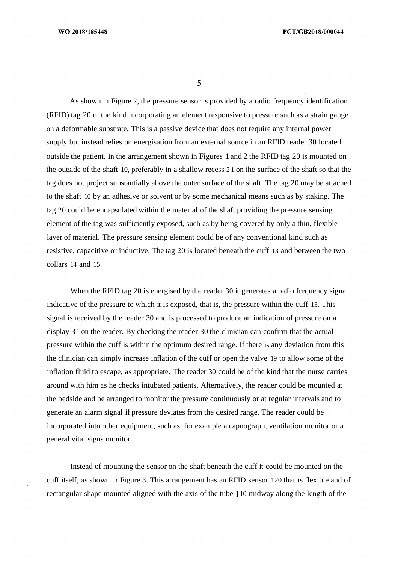As shown in Figure 2, the pressure sensor is provided by a radio frequency identification (RFID) tag 20 of the kind incorporating an element responsive to pressure such as a strain gauge on a deformable substrate. This is a passive device that does not require any internal power supply but instead relies on energisation from an external source in an RFID reader 30 located outside the patient. In the arrangement shown in Figures 1 and 2 the RFID tag 20 is mounted on the outside of the shaft 10, preferably in a shallow recess 2 1 on the surface of the shaft so that the tag does not project substantially above the outer surface of the shaft. The tag 20 may be attached to the shaft 10 by an adhesive or solvent or by some mechanical means such as by staking. The tag 20 could be encapsulated within the material of the shaft providing the pressure sensing element of the tag was sufficiently exposed, such as by being covered by only a thin, flexible layer of material. The pressure sensing element could be of any conventional kind such as resistive, capacitive or inductive. The tag 20 is located beneath the cuff 13 and between the two collars 14 and 15.

When the RFID tag 20 is energised by the reader 30 it generates a radio frequency signal indicative of the pressure to which it is exposed, that is, the pressure within the cuff 13. This signal is received by the reader 30 and is processed to produce an indication of pressure on a display 31 on the reader. By checking the reader 30 the clinician can confirm that the actual pressure within the cuff is within the optimum desired range. If there is any deviation from this the clinician can simply increase inflation of the cuff or open the valve 19 to allow some of the inflation fluid to escape, as appropriate. The reader 30 could be of the kind that the nurse carries around with him as he checks intubated patients. Alternatively, the reader could be mounted at the bedside and be arranged to monitor the pressure continuously or at regular intervals and to generate an alarm signal if pressure deviates from the desired range. The reader could be incorporated into other equipment, such as, for example a capnograph, ventilation monitor or a general vital signs monitor.

Instead of mounting the sensor on the shaft beneath the cuff it could be mounted on the cuff itself, as shown in Figure 3. This arrangement has an RFID sensor 120 that is flexible and of rectangular shape mounted aligned with the axis of the tube 10 midway along the length of the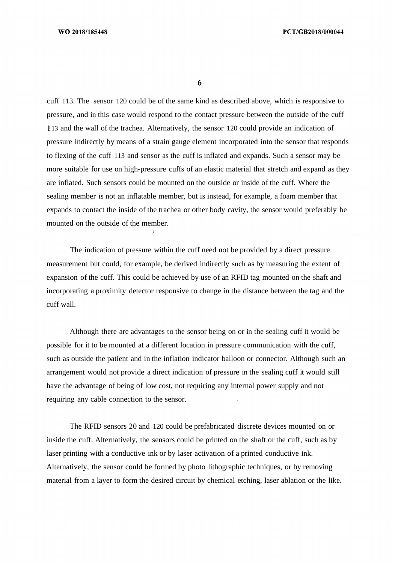cuff 113. The sensor 120 could be of the same kind as described above, which is responsive to pressure, and in this case would respond to the contact pressure between the outside of the cuff 13 and the wall of the trachea. Alternatively, the sensor 120 could provide an indication of pressure indirectly by means of a strain gauge element incorporated into the sensor that responds to flexing of the cuff 113 and sensor as the cuff is inflated and expands. Such a sensor may be more suitable for use on high-pressure cuffs of an elastic material that stretch and expand as they are inflated. Such sensors could be mounted on the outside or inside of the cuff. Where the sealing member is not an inflatable member, but is instead, for example, a foam member that expands to contact the inside of the trachea or other body cavity, the sensor would preferably be mounted on the outside of the member.

The indication of pressure within the cuff need not be provided by a direct pressure measurement but could, for example, be derived indirectly such as by measuring the extent of expansion of the cuff. This could be achieved by use of an RFID tag mounted on the shaft and incorporating a proximity detector responsive to change in the distance between the tag and the cuff wall.

Although there are advantages to the sensor being on or in the sealing cuff it would be possible for it to be mounted at a different location in pressure communication with the cuff, such as outside the patient and in the inflation indicator balloon or connector. Although such an arrangement would not provide a direct indication of pressure in the sealing cuff it would still have the advantage of being of low cost, not requiring any internal power supply and not requiring any cable connection to the sensor.

The RFID sensors 20 and 120 could be prefabricated discrete devices mounted on or inside the cuff. Alternatively, the sensors could be printed on the shaft or the cuff, such as by laser printing with a conductive ink or by laser activation of a printed conductive ink. Alternatively, the sensor could be formed by photo lithographic techniques, or by removing material from a layer to form the desired circuit by chemical etching, laser ablation or the like.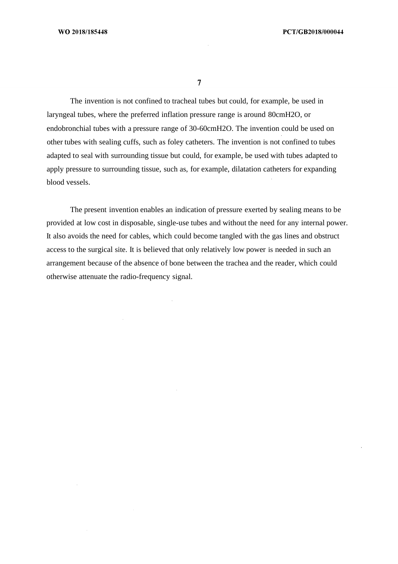$\overline{7}$ 

The invention is not confined to tracheal tubes but could, for example, be used in laryngeal tubes, where the preferred inflation pressure range is around 80cmH2O, or endobronchial tubes with a pressure range of 30-60cmH2O. The invention could be used on other tubes with sealing cuffs, such as foley catheters. The invention is not confined to tubes adapted to seal with surrounding tissue but could, for example, be used with tubes adapted to apply pressure to surrounding tissue, such as, for example, dilatation catheters for expanding blood vessels.

The present invention enables an indication of pressure exerted by sealing means to be provided at low cost in disposable, single-use tubes and without the need for any internal power. It also avoids the need for cables, which could become tangled with the gas lines and obstruct access to the surgical site. It is believed that only relatively low power is needed in such an arrangement because of the absence of bone between the trachea and the reader, which could otherwise attenuate the radio-frequency signal.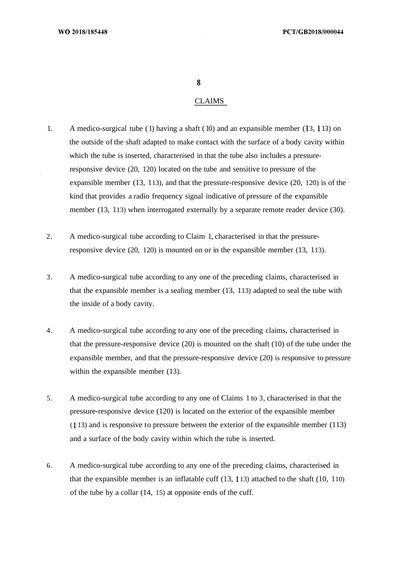#### CLAIMS

- 1. A medico-surgical tube (1) having a shaft (10) and an expansible member  $(13, 113)$  on the outside of the shaft adapted to make contact with the surface of a body cavity within which the tube is inserted, characterised in that the tube also includes a pressureresponsive device (20, 120) located on the tube and sensitive to pressure of the expansible member (13, 113), and that the pressure-responsive device (20, 120) is of the kind that provides a radio frequency signal indicative of pressure of the expansible member (13, 113) when interrogated externally by a separate remote reader device (30).
- 2. A medico-surgical tube according to Claim 1, characterised in that the pressureresponsive device (20, 120) is mounted on or in the expansible member (13, 113).
- 3. A medico-surgical tube according to any one of the preceding claims, characterised in that the expansible member is a sealing member (13, 113) adapted to seal the tube with the inside of a body cavity.
- 4. A medico-surgical tube according to any one of the preceding claims, characterised in that the pressure-responsive device (20) is mounted on the shaft (10) of the tube under the expansible member, and that the pressure-responsive device (20) is responsive to pressure within the expansible member  $(13)$ .
- 5. A medico-surgical tube according to any one of Claims 1 to 3, characterised in that the pressure-responsive device (120) is located on the exterior of the expansible member ( 13) and is responsive to pressure between the exterior of the expansible member (113) and a surface of the body cavity within which the tube is inserted.
- 6. A medico-surgical tube according to any one of the preceding claims, characterised in that the expansible member is an inflatable cuff  $(13, 113)$  attached to the shaft  $(10, 110)$ of the tube by a collar (14, 15) at opposite ends of the cuff.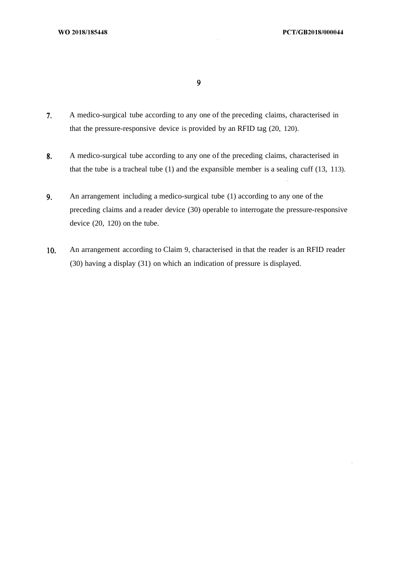$\boldsymbol{9}$ 

- $7.$ A medico-surgical tube according to any one of the preceding claims, characterised in that the pressure-responsive device is provided by an RFID tag (20, 120).
- 8. A medico-surgical tube according to any one of the preceding claims, characterised in that the tube is a tracheal tube (1) and the expansible member is a sealing cuff (13, 113).
- 9. An arrangement including a medico-surgical tube (1) according to any one of the preceding claims and a reader device (30) operable to interrogate the pressure-responsive device (20, 120) on the tube.
- $10.$ An arrangement according to Claim 9, characterised in that the reader is an RFID reader (30) having a display (31) on which an indication of pressure is displayed.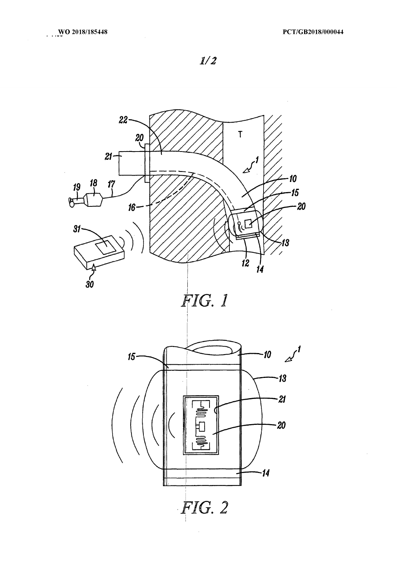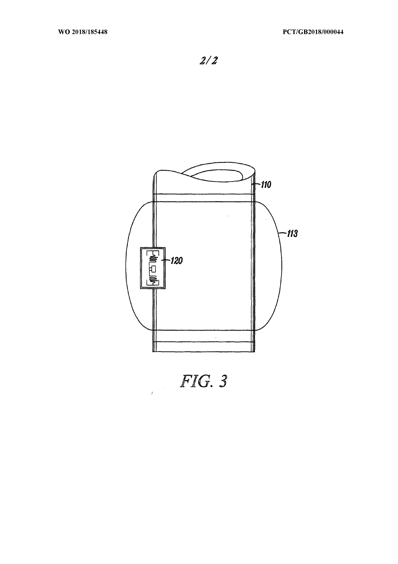

 $FIG. 3$ 

 $\mathcal{L}^{\text{max}}_{\text{max}}$  and  $\mathcal{L}^{\text{max}}_{\text{max}}$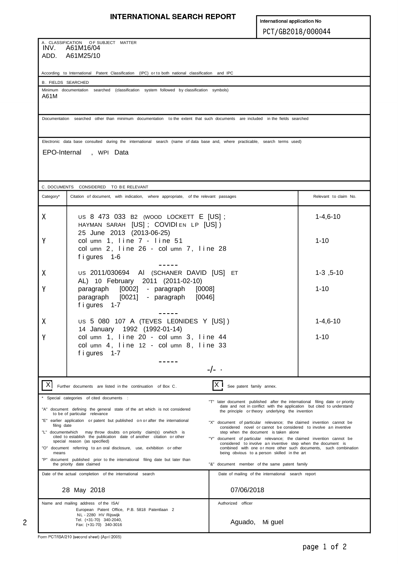#### **INTERNATIONAL SEARCH REPORT**

International application No PCT/GB2018/000044

A. CLASSIFICATION OF SUBJECT MATTER<br>INV. A61M16/04 ADD. A61M25/10

According to International Patent Classification (IPC) or to both national classification and IPC

B . FIELDS SEARCHED

Minimum documentation searched (classification system followed by classification symbols) A61M

Documentation searched other than minimum documentation to the extent that such documents are included in the fields searched

Electronic data base consulted during the international search (name of data base and, where practicable, search terms used)

EPO-Internal , WPI Data

C. DOCUMENTS CONSIDERED TO BE RELEVANT Category\* Citation of document, with indication, where appropriate, of the relevant passages Relevant in Relevant to claim No. X US 8 473 033 B2 (WOOD LOCKETT E [US] ; 1-4,6-10 HAYMAN SARAH [US] ; COVIDI EN LP [US] ) 25 June 2013 (2013-06-25) Y col umn 1, line 7 - line 51 1-10 col umn 2, line 26 - col umn 7, line 28 f i gures 1-6  $- - - - -$ X US 2011/030694 AI (SCHANER DAVID [US] ET 1-3 ,5-10 AL) 10 February 2011 (2011-02-10) paragraph [0002] - paragraph [0008] 1-10 Ÿ paragraph [0021] - paragraph [0046] f i gures 1-7 US 5 080 107 A (TEVES LEONIDES Y [US] ) 1-4,6-10 X 14 January 1992 (1992-01-14) col umn 1, line 20 - col umn 3, line 44 1-10 Y  $col$  umn  $4$ , line  $12 - col$  umn  $8$ , line  $33$ f i gures 1-7  $- - - - - -/-$ . X Further documents are listed in the continuation of Box C. **X** See patent family annex. Special categories of cited documents "T" later document published after the international filing date or priority "A" document defining the general state of the art which is not considered the and not in conflict with the application but cited to understand<br>the principle or theory underlying the invention<br>to be of particular relevance "E" earlier application or patent but published on or after the international "X" document of particular relevance; the claimed invention cannot be filing date filing date<br>"L" documentwhich may throw doubts on priority claim(s) or which is considered novel or cannot be considered to involve an inventive<br>"L" document is taken alone locumentwhich may throw doubts on priority claim(s) orwhich is cited to establish the publication date of another citation or other cited to establish the publication date of another citation or other "Y" document of particular relevance; the claimed invention cannot be special reason (as specified) special reasons of considered to involve an inventive step when the document is<br>combined with one or more other such documents, such combination "O" document referring to an oral disclosure, use, exhibition or other means being obvious to a person skilled in the art "P" document published prior to the international filing date but later than the priority date claimed "&" document member of the same patent family Date of the actual completion of the international search **Date of mailing** of the international search report 28 May 2018 07/06/2018 Name and mailing address of the ISA/ Authorized officer European Patent Office, P.B. 5818 Patentlaan 2 NL - 2280 HV Rijswijk Tel. (+31-70) 340-2040, Fax: (+31-70) 340-3016 Aguado, Mi guel

 $\overline{c}$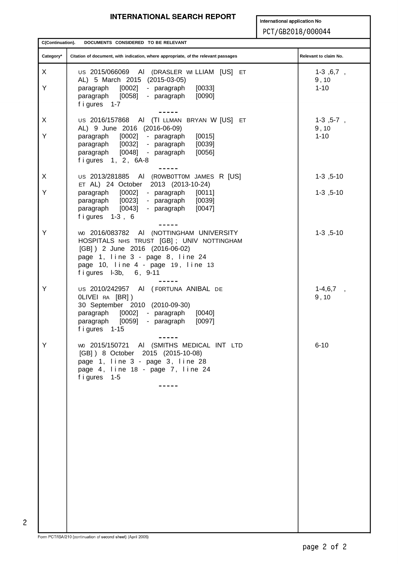#### **INTERNATIONAL SEARCH REPORT**

International application No PCT/GB2018/000044

C(Continuation). DOCUMENTS CONSIDERED TO BE RELEVANT Relevant to claim No. Category<sup>\*</sup> Citation of document, with indication, where appropriate, of the relevant passages  $\mathsf{x}$ US 2015/066069 AI (DRASLER WILLIAM [US] ET  $1-3, 6, 7,$ AL) 5 March 2015 (2015-03-05)  $9, 10$ Y paragraph [0002] - paragraph  $[0033]$  $1 - 10$ paragraph [0058] - paragraph  $[0090]$ f i gures 1-7  $\frac{1}{2}$  $\boldsymbol{\mathsf{X}}$ US 2016/157868 AI (TI LLMAN BRYAN W [US] ET  $1-3, 5-7,$ AL) 9 June 2016 (2016-06-09)  $9, 10$ Y  $1 - 10$ paragraph [0002] - paragraph  $[0015]$ paragraph [0032] - paragraph [0039] paragraph [0048] - paragraph  $[0056]$ figures 1, 2, 6A-8  $\frac{1}{2}$ US 2013/281885 AI (ROWBOTTOM JAMES R [US] X  $1-3$ ,  $5-10$ ET AL) 24 October 2013 (2013-10-24) Y paragraph [0002] - paragraph  $[0011]$  $1-3, 5-10$ paragraph [0023] - paragraph  $[0039]$ paragraph [0043] - paragraph  $[0047]$ figures 1-3, 6 W0 2016/083782 AI (NOTTINGHAM UNIVERSITY Y  $1-3$ ,  $5-10$ HOSPITALS NHS TRUST [GB]; UNIV NOTTINGHAM [GB] ) 2 June 2016 (2016-06-02) page 1, line 3 - page 8, line 24 page 10, line 4 - page 19, line 13 figures  $I-3b$ , 6, 9-11 Y US 2010/242957 AI (FORTUNA ANIBAL DE  $1-4,6,7$ , OLIVEI RA [BR])  $9, 10$ 30 September 2010 (2010-09-30) paragraph [0002] - paragraph  $[0040]$ paragraph [0059] - paragraph  $[0097]$ figures 1-15  $\frac{1}{2}$ wo 2015/150721 AI (SMITHS MEDICAL INT LTD Y  $6 - 10$ [GB] ) 8 October 2015 (2015-10-08) page 1, line 3 - page 3, line 28 page 4, line 18 - page 7, line 24 figures 1-5  $\frac{1}{2}$